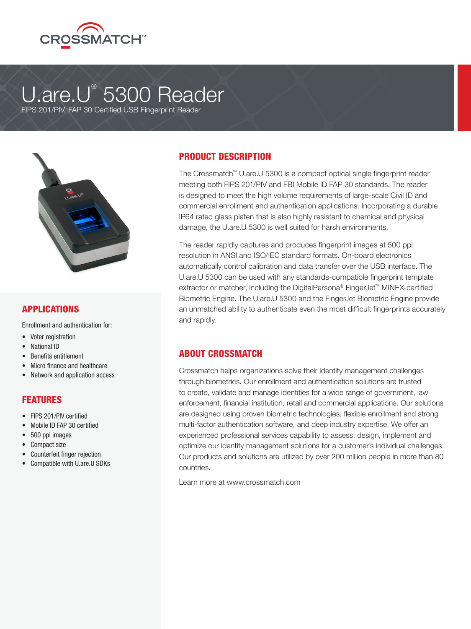

# U.are.U® 5300 Reader

FIPS 201/PIV, FAP 30 Certified USB Fingerprint Reader



## APPLICATIONS

Enrollment and authentication for:

- Voter registration
- National ID
- Benefits entitlement
- Micro finance and healthcare
- Network and application access

#### FEATURES

- FIPS 201/PIV certified
- Mobile ID FAP 30 certified
- 500 ppi images
- Compact size
- Counterfeit finger rejection
- Compatible with U.are.U SDKs

# PRODUCT DESCRIPTION

The Crossmatch™ U.are.U 5300 is a compact optical single fingerprint reader meeting both FIPS 201/PIV and FBI Mobile ID FAP 30 standards. The reader is designed to meet the high volume requirements of large-scale Civil ID and commercial enrollment and authentication applications. Incorporating a durable IP64 rated glass platen that is also highly resistant to chemical and physical damage, the U.are.U 5300 is well suited for harsh environments.

The reader rapidly captures and produces fingerprint images at 500 ppi resolution in ANSI and ISO/IEC standard formats. On-board electronics automatically control calibration and data transfer over the USB interface. The U.are.U 5300 can be used with any standards-compatible fingerprint template extractor or matcher, including the DigitalPersona® FingerJet™ MINEX-certified Biometric Engine. The U.are.U 5300 and the FingerJet Biometric Engine provide an unmatched ability to authenticate even the most difficult fingerprints accurately and rapidly.

#### ABOUT CROSSMATCH

Crossmatch helps organizations solve their identity management challenges through biometrics. Our enrollment and authentication solutions are trusted to create, validate and manage identities for a wide range of government, law enforcement, financial institution, retail and commercial applications. Our solutions are designed using proven biometric technologies, flexible enrollment and strong multi-factor authentication software, and deep industry expertise. We offer an experienced professional services capability to assess, design, implement and optimize our identity management solutions for a customer's individual challenges. Our products and solutions are utilized by over 200 million people in more than 80 countries.

Learn more at www.crossmatch.com